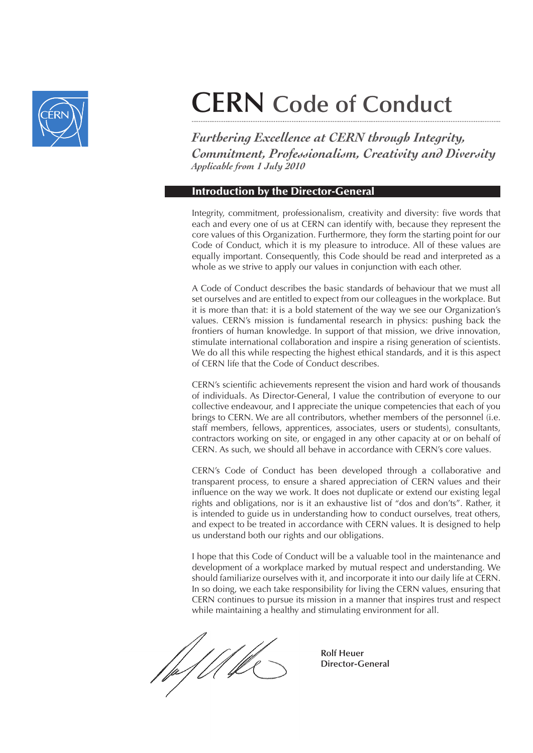

# **CERN Code of Conduct**

*Furthering Excellence at CERN through Integrity, Commitment, Professionalism, Creativity and Diversity Applicable from 1 July 2010*

### Introduction by the Director-General

Integrity, commitment, professionalism, creativity and diversity: five words that each and every one of us at CERN can identify with, because they represent the core values of this Organization. Furthermore, they form the starting point for our Code of Conduct, which it is my pleasure to introduce. All of these values are equally important. Consequently, this Code should be read and interpreted as a whole as we strive to apply our values in conjunction with each other.

A Code of Conduct describes the basic standards of behaviour that we must all set ourselves and are entitled to expect from our colleagues in the workplace. But it is more than that: it is a bold statement of the way we see our Organization's values. CERN's mission is fundamental research in physics: pushing back the frontiers of human knowledge. In support of that mission, we drive innovation, stimulate international collaboration and inspire a rising generation of scientists. We do all this while respecting the highest ethical standards, and it is this aspect of CERN life that the Code of Conduct describes.

CERN's scientific achievements represent the vision and hard work of thousands of individuals. As Director-General, I value the contribution of everyone to our collective endeavour, and I appreciate the unique competencies that each of you brings to CERN. We are all contributors, whether members of the personnel (i.e. staff members, fellows, apprentices, associates, users or students), consultants, contractors working on site, or engaged in any other capacity at or on behalf of CERN. As such, we should all behave in accordance with CERN's core values.

CERN's Code of Conduct has been developed through a collaborative and transparent process, to ensure a shared appreciation of CERN values and their influence on the way we work. It does not duplicate or extend our existing legal rights and obligations, nor is it an exhaustive list of "dos and don'ts". Rather, it is intended to guide us in understanding how to conduct ourselves, treat others, and expect to be treated in accordance with CERN values. It is designed to help us understand both our rights and our obligations.

I hope that this Code of Conduct will be a valuable tool in the maintenance and development of a workplace marked by mutual respect and understanding. We should familiarize ourselves with it, and incorporate it into our daily life at CERN. In so doing, we each take responsibility for living the CERN values, ensuring that CERN continues to pursue its mission in a manner that inspires trust and respect while maintaining a healthy and stimulating environment for all.

*Rolf Heuer* Rolf Heuer  **Director-General**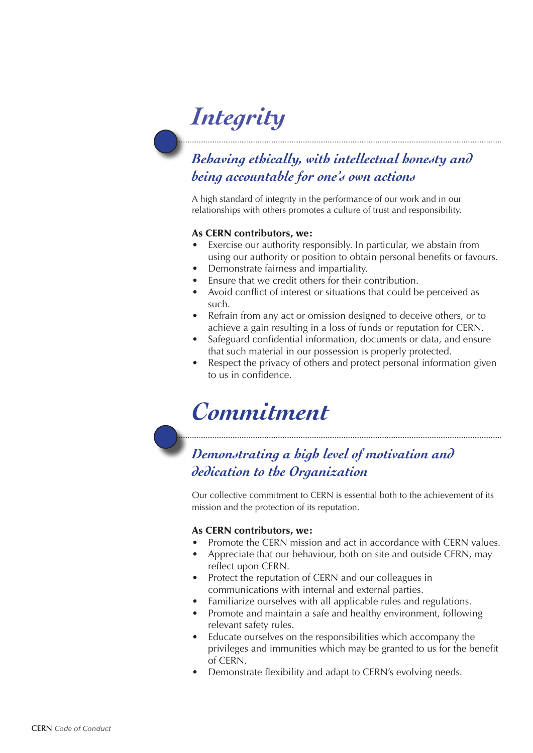# *Integrity*

## *Behaving ethically, with intellectual honesty and being accountable for one's own actions*

A high standard of integrity in the performance of our work and in our relationships with others promotes a culture of trust and responsibility.

#### As CERN contributors, we:

- Exercise our authority responsibly. In particular, we abstain from using our authority or position to obtain personal benefits or favours.
- Demonstrate fairness and impartiality.
- Finsure that we credit others for their contribution.
- Avoid conflict of interest or situations that could be perceived as such.
- Refrain from any act or omission designed to deceive others, or to achieve a gain resulting in a loss of funds or reputation for CERN.
- Safeguard confidential information, documents or data, and ensure that such material in our possession is properly protected.
- Respect the privacy of others and protect personal information given to us in confidence.

## *Commitment*

### *Demonstrating a high level of motivation and dedication to the Organization*

Our collective commitment to CERN is essential both to the achievement of its mission and the protection of its reputation.

#### As CERN contributors, we:

- Promote the CERN mission and act in accordance with CERN values.
- Appreciate that our behaviour, both on site and outside CERN, may reflect upon CERN.
- Protect the reputation of CERN and our colleagues in communications with internal and external parties.
- Familiarize ourselves with all applicable rules and regulations.
- Promote and maintain a safe and healthy environment, following relevant safety rules.
- Educate ourselves on the responsibilities which accompany the privileges and immunities which may be granted to us for the benefit of CERN.
- Demonstrate flexibility and adapt to CERN's evolving needs.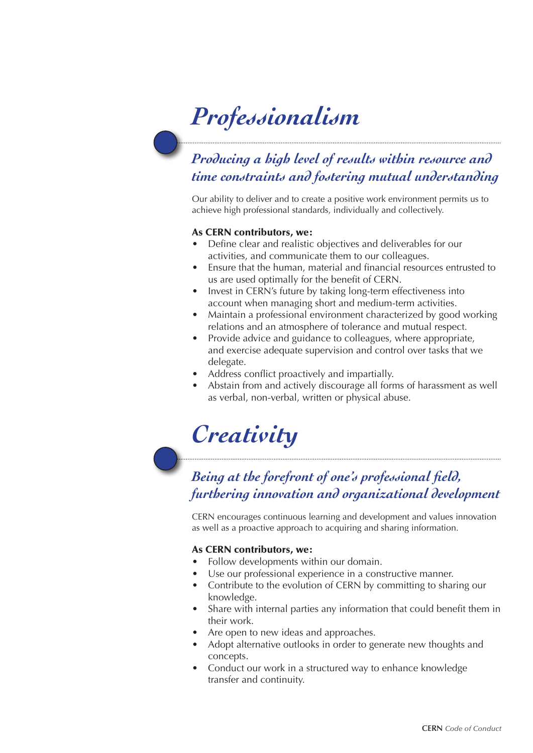# *Professionalism*

## *Producing a high level of results within resource and time constraints and fostering mutual understanding*

Our ability to deliver and to create a positive work environment permits us to achieve high professional standards, individually and collectively.

#### As CERN contributors, we:

- Define clear and realistic objectives and deliverables for our activities, and communicate them to our colleagues.
- Ensure that the human, material and financial resources entrusted to us are used optimally for the benefit of CERN.
- Invest in CERN's future by taking long-term effectiveness into account when managing short and medium-term activities.
- Maintain a professional environment characterized by good working relations and an atmosphere of tolerance and mutual respect.
- Provide advice and guidance to colleagues, where appropriate, and exercise adequate supervision and control over tasks that we delegate.
- Address conflict proactively and impartially.
- Abstain from and actively discourage all forms of harassment as well as verbal, non-verbal, written or physical abuse.

## *Creativity*

### *Being at the forefront of one's professional field, furthering innovation and organizational development*

CERN encourages continuous learning and development and values innovation as well as a proactive approach to acquiring and sharing information.

#### As CERN contributors, we:

- Follow developments within our domain.
- Use our professional experience in a constructive manner.
- Contribute to the evolution of CERN by committing to sharing our knowledge.
- Share with internal parties any information that could benefit them in their work.
- Are open to new ideas and approaches.
- Adopt alternative outlooks in order to generate new thoughts and concepts.
- Conduct our work in a structured way to enhance knowledge transfer and continuity.